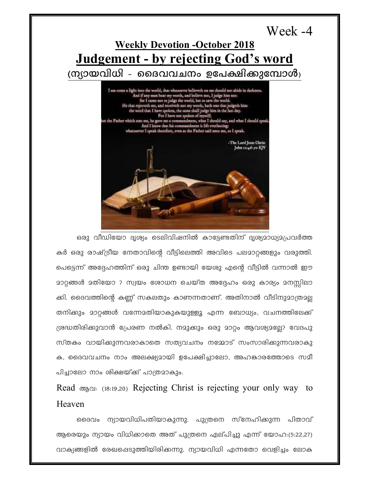Week -4 **Weekly Devotion -October 2018 Judgement - by rejecting God's word** (ന്യായവിധി - ദൈവവചനം ഉപേക്ഷിക്കുമ്പോൾ)  ${\bf I}$ am come a light into the world, that whosoever believe<br/>th on me should not abide in darkness. And if any man hear my words, and believe not,<br/>  ${\bf I}$  judge him not: for I came not to judge the world, but to save the world He that rejected<br>h me, and receiveth not my words, hath one that judgeth him: the word that<br> $\mbox{I}$  have spoken, the same shall judge him in the last day. For<br> $\mbox{I}$  have not spoken of myself; t the Father which sem me, he gave me a commandment, what I should say, and what I should speak<br>And I know that his commandment is life everlasting: whatsoever I speak therefore, even as the Father said unto me, so I speak. -The Lord Jesus Christ John 11:46-50 KJV

ഒരു വീഡിയോ ദൃശ്യം ടെലിവിഷനിൽ കാട്ടേണ്ടതിന് ദൃശ്യമാധ്യമപ്രവർത്ത കർ ഒരു രാഷ്ട്രീയ നേതാവിന്റെ വീട്ടിലെത്തി അവിടെ പലമാറ്റങ്ങളും വരുത്തി. പെട്ടെന്ന് അദ്ദേഹത്തിന് ഒരു ചിന്ത ഉണ്ടായി യേശു എന്റെ വീട്ടിൽ വന്നാൽ ഈ <u> മാറ്റങ്ങൾ മതിയോ ? സ്വയം ശോധന ചെയ്ത അദ്ദേഹം ഒരു കാര്യം മനസ്സിലാ</u> ക്കി. ദൈവത്തിന്റെ കണ്ണ് സകലതും കാണന്നതാണ്. അതിനാൽ വീടിനുമാത്രമല തനിക്കും മാറ്റങ്ങൾ വന്നേമതിയാകുകയുള്ളൂ എന്ന ബോധ്യം, വചനത്തിലേക്ക് ശ്രദ്ധതിരിക്കുവാൻ പ്രേരണ നൽകി. നമുക്കും ഒരു മാറ്റം ആവശ്യമല്ലേ? വേദപു സ്തകം വായിക്കുന്നവരാകാതെ സത്യവചനം നമ്മോട് സംസാരിക്കുന്നവരാകു ക, ദൈവവചനം നാം അലക്ഷ്യമായി ഉപേക്ഷിച്ചാലോ, അഹങ്കാരത്തോടെ സമീ പിച്ചാലോ നാം ശിക്ഷയ്ക്ക് പാത്രമാകും.

Read ആവ: (18:19,20) Rejecting Christ is rejecting your only way to Heaven

ദൈവം ന്യായവിധിപതിയാകുന്നു. പുത്രനെ സ്നേഹിക്കുന്ന പിതാവ് ആരെയും ന്യായം വിധിക്കാതെ അത് പുത്രനെ ഏല്പിച്ചു എന്ന് യോഹ:(5:22,27) വാക്യങ്ങളിൽ രേഖപ്പെടുത്തിയിരിക്കന്നു. ന്യായവിധി എന്നതോ വെളിച്ചം ലോക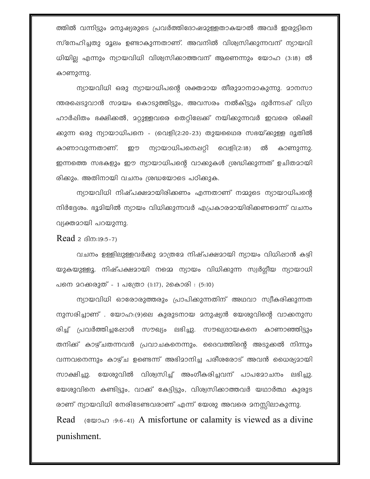ത്തിൽ വന്നിട്ടും മനുഷ്യരുടെ പ്രവർത്തിദോഷമുള്ളതാകയാൽ അവർ ഇരുട്ടിനെ സ്നേഹിച്ചതു മൂലം ഉണ്ടാകുന്നതാണ്. അവനിൽ വിശ്വസിക്കുന്നവന് ന്യായവി ധിയില്ല എന്നും ന്യായവിധി വിശ്വസിക്കാത്തവന് ആണെന്നും യോഹ (3:18) ൽ കാണുന്നു.

ന്യായവിധി ഒരു ന്യായാധിപന്റെ ശക്തമായ തീരുമാനമാകുന്നു. മാനസാ ന്തരപ്പെടുവാൻ സമയം കൊടുത്തിട്ടും, അവസരം നൽകിട്ടും ദുർന്നടഷ് വിഗ്ര ഹാർഷിതം ഭക്ഷിക്കൽ, മറ്റുള്ളവരെ തെറ്റിലേക്ക് നയിക്കുന്നവർ ഇവരെ ശിക്ഷി ക്കുന്ന ഒരു ന്യായാധിപനെ - (വെളി(2:20-23) തുയഥൈര സഭയ്ക്കുള്ള ദൂതിൽ കാണാവുന്നതാണ്. ഈ ന്യായാധിപനെഷറ്റി വെളി(2:18) ൽ കാണുന്നു. ഇന്നത്തെ സഭകളും ഈ ന്യായാധിപന്റെ വാക്കുകൾ ശ്രദ്ധിക്കുന്നത് ഉചിതമായി രിക്കും. അതിനായി വചനം ശ്രദ്ധയോടെ പഠിക്കുക.

ന്യായവിധി നിഷ്പക്ഷമായിരിക്കണം എന്നതാണ് നമ്മുടെ ന്യായാധിപന്റെ നിർദ്ദേശം. ഭൂമിയിൽ ന്യായം വിധിക്കുന്നവർ എപ്രകാരമായിരിക്കണമെന്ന് വചനം വ്യക്തമായി പറയുന്നു.

## Read  $2$   $\beta$ m:19:5-7)

വചനം ഉള്ളിലുള്ളവർക്കു മാത്രമേ നിഷ്പക്ഷമായി ന്യായം വിധിഷാൻ കഴി യുകയുള്ളൂ. നിഷ്പക്ഷമായി നമ്മെ ന്യായം വിധിക്കുന്ന സ്വർഗ്ഗീയ ന്യായാധി പനെ മറക്കരുത് - 1 പത്രോ (1:17), 2കൊരി : (5:10)

ന്യായവിധി ഓരോരുത്തരും പ്രാപിക്കുന്നതിന് അഥവാ സ്വീകരിക്കുന്നത നുസരിച്ചാണ് . യോഹ:(9)ലെ കുരുടനായ മനുഷ്യൻ യേശുവിന്റെ വാക്കനുസ രിച്ച് പ്രവർത്തിച്ചപ്പോൾ സൗഖ്യം ലഭിച്ചു. സൗഖ്യദായകനെ കാണാഞ്ഞിട്ടും തനിക്ക് കാഴ്ചതന്നവൻ പ്രവാചകനെന്നും. ദൈവത്തിന്റെ അടുക്കൽ നിന്നും വന്നവനെന്നും കാഴ്ച ഉണ്ടെന്ന് അഭിമാനിച്ച പരീശരോട് അവൻ ധൈര്യമായി സാക്ഷിച്ചു. യേശുവിൽ വിശ്വസിച്ച് അംഗീകരിച്ചവന് പാപമോചനം ലഭിച്ചു. യേശുവിനെ കണ്ടിട്ടും, വാക്ക് കേട്ടിട്ടും, വിശ്വസിക്കാത്തവർ യഥാർത്ഥ കുരുട രാണ് ന്യായവിധി നേരിടേണ്ടവരാണ് എന്ന് യേശു അവരെ മനസ്സിലാകുന്നു. Read  $(80, 20, 0.9, 6, 41)$  A misfortune or calamity is viewed as a divine

punishment.